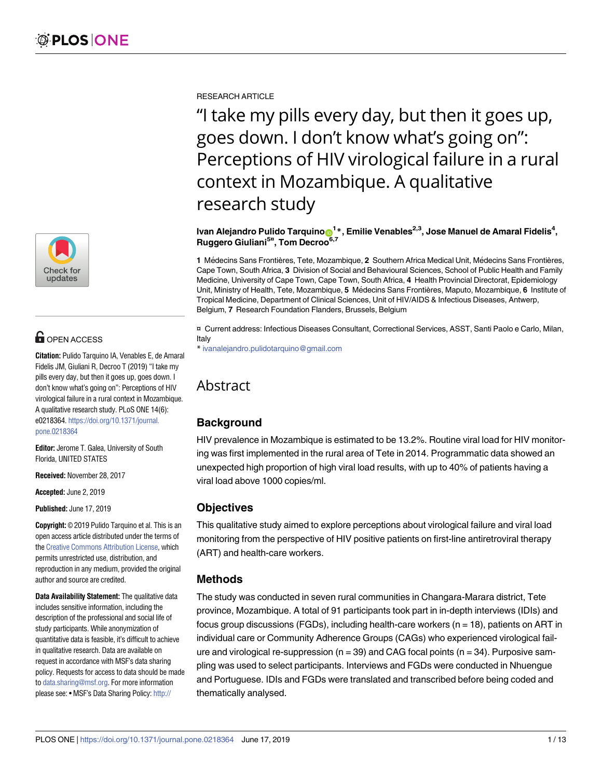

# **OPEN ACCESS**

**Citation:** Pulido Tarquino IA, Venables E, de Amaral Fidelis JM, Giuliani R, Decroo T (2019) "I take my pills every day, but then it goes up, goes down. I don't know what's going on": Perceptions of HIV virological failure in a rural context in Mozambique. A qualitative research study. PLoS ONE 14(6): e0218364. [https://doi.org/10.1371/journal.](https://doi.org/10.1371/journal.pone.0218364) [pone.0218364](https://doi.org/10.1371/journal.pone.0218364)

**Editor:** Jerome T. Galea, University of South Florida, UNITED STATES

**Received:** November 28, 2017

**Accepted:** June 2, 2019

**Published:** June 17, 2019

**Copyright:** © 2019 Pulido Tarquino et al. This is an open access article distributed under the terms of the Creative [Commons](http://creativecommons.org/licenses/by/4.0/) Attribution License, which permits unrestricted use, distribution, and reproduction in any medium, provided the original author and source are credited.

**Data Availability Statement:** The qualitative data includes sensitive information, including the description of the professional and social life of study participants. While anonymization of quantitative data is feasible, it's difficult to achieve in qualitative research. Data are available on request in accordance with MSF's data sharing policy. Requests for access to data should be made to [data.sharing@msf.org.](mailto:data.sharing@msf.org) For more information please see: • MSF's Data Sharing Policy: [http://](http://fieldresearch.msf.org/msf/handle/10144/306501)

RESEARCH ARTICLE

"I take my pills every day, but then it goes up, goes down. I don't know what's going on": Perceptions of HIV virological failure in a rural context in Mozambique. A qualitative research study

 $I$ Van Alejandro Pulido Tarquino $\textbf{G}^{1*}$ , Emilie Venables<sup>2,3</sup>, Jose Manuel de Amaral Fidelis<sup>4</sup>, **Ruggero Giuliani5¤ , Tom Decroo6,7**

**1** Médecins Sans Frontières, Tete, Mozambique, 2 Southern Africa Medical Unit, Médecins Sans Frontières, Cape Town, South Africa, **3** Division of Social and Behavioural Sciences, School of Public Health and Family Medicine, University of Cape Town, Cape Town, South Africa, **4** Health Provincial Directorat, Epidemiology Unit, Ministry of Health, Tete, Mozambique, **5** Me´decins Sans Frontières, Maputo, Mozambique, **6** Institute of Tropical Medicine, Department of Clinical Sciences, Unit of HIV/AIDS & Infectious Diseases, Antwerp, Belgium, **7** Research Foundation Flanders, Brussels, Belgium

¤ Current address: Infectious Diseases Consultant, Correctional Services, ASST, Santi Paolo e Carlo, Milan, Italy

\* ivanalejandro.pulidotarquino@gmail.com

# Abstract

# **Background**

HIV prevalence in Mozambique is estimated to be 13.2%. Routine viral load for HIV monitoring was first implemented in the rural area of Tete in 2014. Programmatic data showed an unexpected high proportion of high viral load results, with up to 40% of patients having a viral load above 1000 copies/ml.

## **Objectives**

This qualitative study aimed to explore perceptions about virological failure and viral load monitoring from the perspective of HIV positive patients on first-line antiretroviral therapy (ART) and health-care workers.

# **Methods**

The study was conducted in seven rural communities in Changara-Marara district, Tete province, Mozambique. A total of 91 participants took part in in-depth interviews (IDIs) and focus group discussions (FGDs), including health-care workers ( $n = 18$ ), patients on ART in individual care or Community Adherence Groups (CAGs) who experienced virological failure and virological re-suppression ( $n = 39$ ) and CAG focal points ( $n = 34$ ). Purposive sampling was used to select participants. Interviews and FGDs were conducted in Nhuengue and Portuguese. IDIs and FGDs were translated and transcribed before being coded and thematically analysed.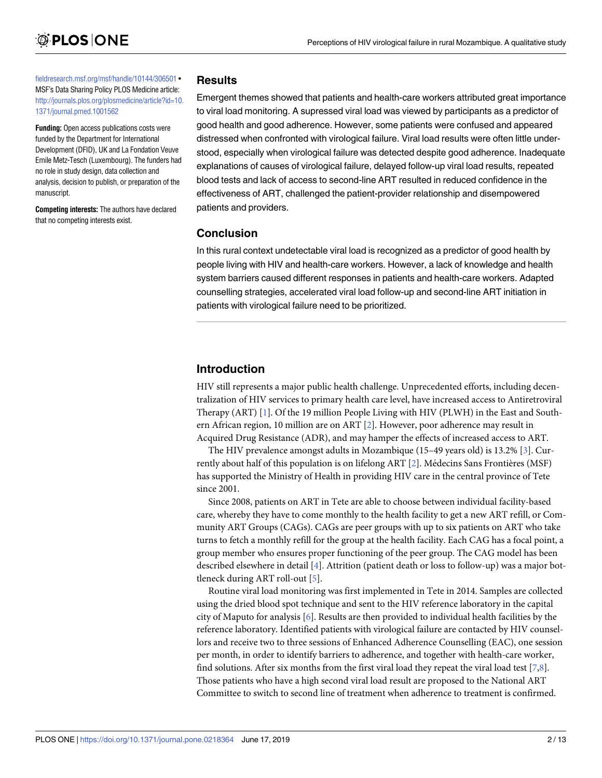<span id="page-1-0"></span>[fieldresearch.msf.org/msf/handle/10144/306501](http://fieldresearch.msf.org/msf/handle/10144/306501) • MSF's Data Sharing Policy PLOS Medicine article: [http://journals.plos.org/plosmedicine/article?id=10.](http://journals.plos.org/plosmedicine/article?id=10.1371/journal.pmed.1001562) [1371/journal.pmed.1001562](http://journals.plos.org/plosmedicine/article?id=10.1371/journal.pmed.1001562)

**Funding:** Open access publications costs were funded by the Department for International Development (DFID), UK and La Fondation Veuve Emile Metz-Tesch (Luxembourg). The funders had no role in study design, data collection and analysis, decision to publish, or preparation of the manuscript.

**Competing interests:** The authors have declared that no competing interests exist.

## **Results**

Emergent themes showed that patients and health-care workers attributed great importance to viral load monitoring. A supressed viral load was viewed by participants as a predictor of good health and good adherence. However, some patients were confused and appeared distressed when confronted with virological failure. Viral load results were often little understood, especially when virological failure was detected despite good adherence. Inadequate explanations of causes of virological failure, delayed follow-up viral load results, repeated blood tests and lack of access to second-line ART resulted in reduced confidence in the effectiveness of ART, challenged the patient-provider relationship and disempowered patients and providers.

## **Conclusion**

In this rural context undetectable viral load is recognized as a predictor of good health by people living with HIV and health-care workers. However, a lack of knowledge and health system barriers caused different responses in patients and health-care workers. Adapted counselling strategies, accelerated viral load follow-up and second-line ART initiation in patients with virological failure need to be prioritized.

# **Introduction**

HIV still represents a major public health challenge. Unprecedented efforts, including decentralization of HIV services to primary health care level, have increased access to Antiretroviral Therapy (ART) [\[1\]](#page-11-0). Of the 19 million People Living with HIV (PLWH) in the East and Southern African region, 10 million are on ART [\[2\]](#page-11-0). However, poor adherence may result in Acquired Drug Resistance (ADR), and may hamper the effects of increased access to ART.

The HIV prevalence amongst adults in Mozambique (15–49 years old) is 13.2% [\[3\]](#page-11-0). Currently about half of this population is on lifelong ART  $[2]$  $[2]$  $[2]$ . Médecins Sans Frontières (MSF) has supported the Ministry of Health in providing HIV care in the central province of Tete since 2001.

Since 2008, patients on ART in Tete are able to choose between individual facility-based care, whereby they have to come monthly to the health facility to get a new ART refill, or Community ART Groups (CAGs). CAGs are peer groups with up to six patients on ART who take turns to fetch a monthly refill for the group at the health facility. Each CAG has a focal point, a group member who ensures proper functioning of the peer group. The CAG model has been described elsewhere in detail [\[4](#page-11-0)]. Attrition (patient death or loss to follow-up) was a major bottleneck during ART roll-out [[5](#page-11-0)].

Routine viral load monitoring was first implemented in Tete in 2014. Samples are collected using the dried blood spot technique and sent to the HIV reference laboratory in the capital city of Maputo for analysis [\[6](#page-11-0)]. Results are then provided to individual health facilities by the reference laboratory. Identified patients with virological failure are contacted by HIV counsellors and receive two to three sessions of Enhanced Adherence Counselling (EAC), one session per month, in order to identify barriers to adherence, and together with health-care worker, find solutions. After six months from the first viral load they repeat the viral load test [[7](#page-11-0),[8](#page-11-0)]. Those patients who have a high second viral load result are proposed to the National ART Committee to switch to second line of treatment when adherence to treatment is confirmed.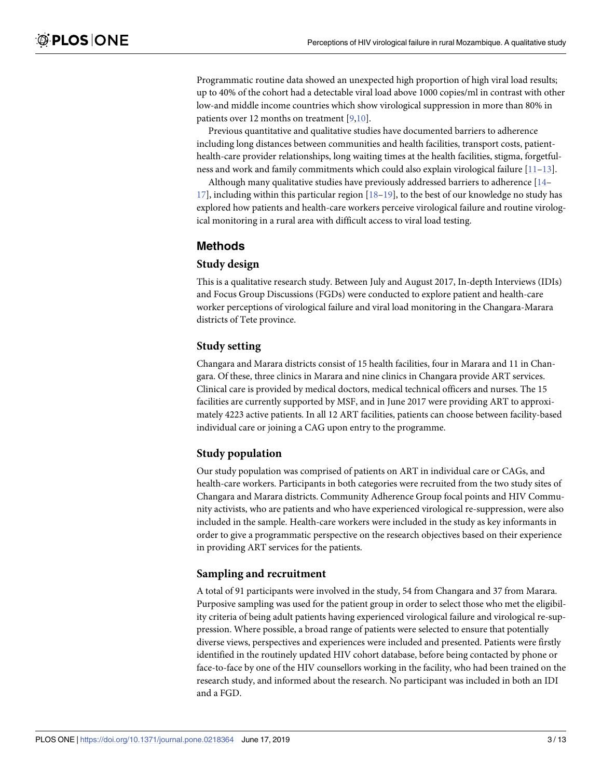<span id="page-2-0"></span>Programmatic routine data showed an unexpected high proportion of high viral load results; up to 40% of the cohort had a detectable viral load above 1000 copies/ml in contrast with other low-and middle income countries which show virological suppression in more than 80% in patients over 12 months on treatment [[9,10](#page-11-0)].

Previous quantitative and qualitative studies have documented barriers to adherence including long distances between communities and health facilities, transport costs, patienthealth-care provider relationships, long waiting times at the health facilities, stigma, forgetfulness and work and family commitments which could also explain virological failure [\[11–13](#page-11-0)].

Although many qualitative studies have previously addressed barriers to adherence [14-[17\]](#page-11-0), including within this particular region [\[18–19](#page-12-0)], to the best of our knowledge no study has explored how patients and health-care workers perceive virological failure and routine virological monitoring in a rural area with difficult access to viral load testing.

## **Methods**

# **Study design**

This is a qualitative research study. Between July and August 2017, In-depth Interviews (IDIs) and Focus Group Discussions (FGDs) were conducted to explore patient and health-care worker perceptions of virological failure and viral load monitoring in the Changara-Marara districts of Tete province.

## **Study setting**

Changara and Marara districts consist of 15 health facilities, four in Marara and 11 in Changara. Of these, three clinics in Marara and nine clinics in Changara provide ART services. Clinical care is provided by medical doctors, medical technical officers and nurses. The 15 facilities are currently supported by MSF, and in June 2017 were providing ART to approximately 4223 active patients. In all 12 ART facilities, patients can choose between facility-based individual care or joining a CAG upon entry to the programme.

## **Study population**

Our study population was comprised of patients on ART in individual care or CAGs, and health-care workers. Participants in both categories were recruited from the two study sites of Changara and Marara districts. Community Adherence Group focal points and HIV Community activists, who are patients and who have experienced virological re-suppression, were also included in the sample. Health-care workers were included in the study as key informants in order to give a programmatic perspective on the research objectives based on their experience in providing ART services for the patients.

## **Sampling and recruitment**

A total of 91 participants were involved in the study, 54 from Changara and 37 from Marara. Purposive sampling was used for the patient group in order to select those who met the eligibility criteria of being adult patients having experienced virological failure and virological re-suppression. Where possible, a broad range of patients were selected to ensure that potentially diverse views, perspectives and experiences were included and presented. Patients were firstly identified in the routinely updated HIV cohort database, before being contacted by phone or face-to-face by one of the HIV counsellors working in the facility, who had been trained on the research study, and informed about the research. No participant was included in both an IDI and a FGD.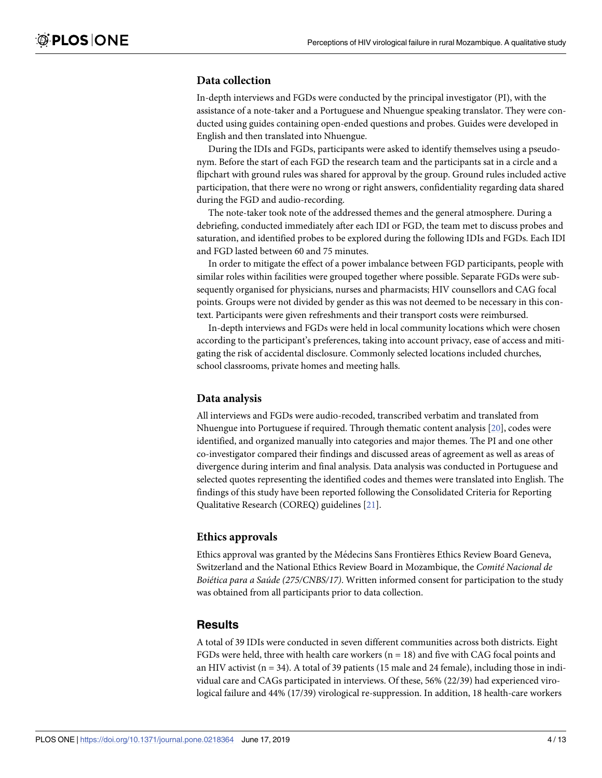# <span id="page-3-0"></span>**Data collection**

In-depth interviews and FGDs were conducted by the principal investigator (PI), with the assistance of a note-taker and a Portuguese and Nhuengue speaking translator. They were conducted using guides containing open-ended questions and probes. Guides were developed in English and then translated into Nhuengue.

During the IDIs and FGDs, participants were asked to identify themselves using a pseudonym. Before the start of each FGD the research team and the participants sat in a circle and a flipchart with ground rules was shared for approval by the group. Ground rules included active participation, that there were no wrong or right answers, confidentiality regarding data shared during the FGD and audio-recording.

The note-taker took note of the addressed themes and the general atmosphere. During a debriefing, conducted immediately after each IDI or FGD, the team met to discuss probes and saturation, and identified probes to be explored during the following IDIs and FGDs. Each IDI and FGD lasted between 60 and 75 minutes.

In order to mitigate the effect of a power imbalance between FGD participants, people with similar roles within facilities were grouped together where possible. Separate FGDs were subsequently organised for physicians, nurses and pharmacists; HIV counsellors and CAG focal points. Groups were not divided by gender as this was not deemed to be necessary in this context. Participants were given refreshments and their transport costs were reimbursed.

In-depth interviews and FGDs were held in local community locations which were chosen according to the participant's preferences, taking into account privacy, ease of access and mitigating the risk of accidental disclosure. Commonly selected locations included churches, school classrooms, private homes and meeting halls.

## **Data analysis**

All interviews and FGDs were audio-recoded, transcribed verbatim and translated from Nhuengue into Portuguese if required. Through thematic content analysis [[20](#page-12-0)], codes were identified, and organized manually into categories and major themes. The PI and one other co-investigator compared their findings and discussed areas of agreement as well as areas of divergence during interim and final analysis. Data analysis was conducted in Portuguese and selected quotes representing the identified codes and themes were translated into English. The findings of this study have been reported following the Consolidated Criteria for Reporting Qualitative Research (COREQ) guidelines [[21](#page-12-0)].

### **Ethics approvals**

Ethics approval was granted by the Médecins Sans Frontières Ethics Review Board Geneva, Switzerland and the National Ethics Review Board in Mozambique, the *Comité Nacional de Boiética para a Saúde (275/CNBS/17)*. Written informed consent for participation to the study was obtained from all participants prior to data collection.

## **Results**

A total of 39 IDIs were conducted in seven different communities across both districts. Eight FGDs were held, three with health care workers  $(n = 18)$  and five with CAG focal points and an HIV activist  $(n = 34)$ . A total of 39 patients (15 male and 24 female), including those in individual care and CAGs participated in interviews. Of these, 56% (22/39) had experienced virological failure and 44% (17/39) virological re-suppression. In addition, 18 health-care workers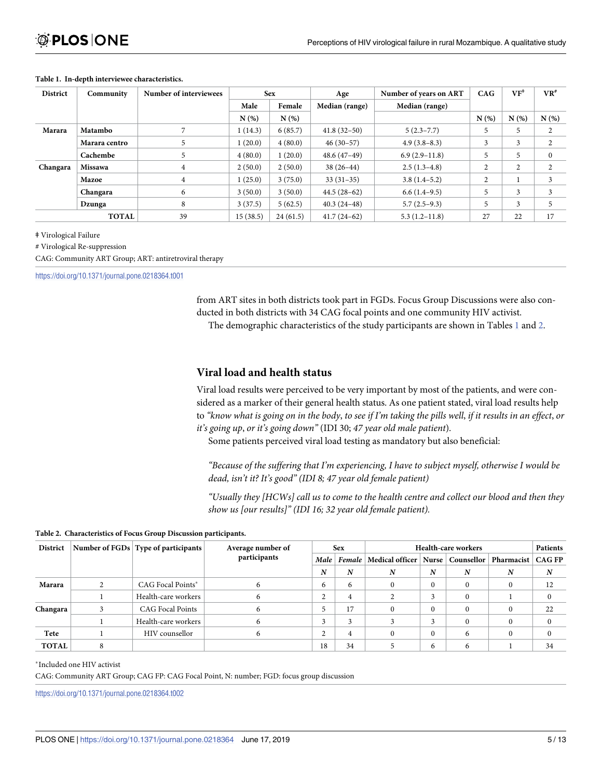| <b>District</b>    | Community     | Number of interviewees | <b>Sex</b>     |               | Age               | Number of years on ART | CAG  | $VF^*$ | $VR^*$       |
|--------------------|---------------|------------------------|----------------|---------------|-------------------|------------------------|------|--------|--------------|
|                    |               |                        | Male<br>Female |               | Median (range)    | Median (range)         |      |        |              |
|                    |               |                        | N(%)           | N(%)          |                   |                        | N(%) | N(%)   | N(%)         |
| Marara             | Matambo       |                        | 1(14.3)        | 6(85.7)       | $41.8(32-50)$     | $5(2.3-7.7)$           |      | 5      | 2            |
|                    | Marara centro | 5                      | 1(20.0)        | 4(80.0)       | $46(30-57)$       | $4.9(3.8-8.3)$         | 3    | 3      | 2            |
|                    | Cachembe      |                        | 4(80.0)        | 1(20.0)       | $48.6(47-49)$     | $6.9(2.9-11.8)$        | 5    | 5      | $\mathbf{0}$ |
| Changara           | Missawa       | 4                      | 2(50.0)        | 2(50.0)       | $38(26-44)$       | $2.5(1.3-4.8)$         | 2    | 2      | 2            |
|                    | Mazoe         | 4                      | (25.0)         | 3(75.0)       | $33(31-35)$       | $3.8(1.4-5.2)$         | 2    |        | 3            |
|                    | Changara      | 6                      | 3(50.0)        | 3(50.0)       | $44.5(28-62)$     | $6.6(1.4-9.5)$         | 5    | 3      | 3            |
|                    | Dzunga        | 8                      | 3(37.5)        | 5(62.5)       | $40.3(24-48)$     | $5.7(2.5-9.3)$         |      | 3      |              |
| 39<br><b>TOTAL</b> |               | 15(38.5)               | 24(61.5)       | $41.7(24-62)$ | $5.3(1.2 - 11.8)$ | 27                     | 22   | 17     |              |

#### **Table 1. In-depth interviewee characteristics.**

ǂ Virological Failure

# Virological Re-suppression

CAG: Community ART Group; ART: antiretroviral therapy

<https://doi.org/10.1371/journal.pone.0218364.t001>

from ART sites in both districts took part in FGDs. Focus Group Discussions were also conducted in both districts with 34 CAG focal points and one community HIV activist. The demographic characteristics of the study participants are shown in Tables  $1$  and  $2$ .

## **Viral load and health status**

Viral load results were perceived to be very important by most of the patients, and were considered as a marker of their general health status. As one patient stated, viral load results help to "know what is going on in the body, to see if I'm taking the pills well, if it results in an effect, or *it's going up*, *or it's going down"* (IDI 30; *47 year old male patient*).

Some patients perceived viral load testing as mandatory but also beneficial:

*"Because of the suffering that I'm experiencing, I have to subject myself, otherwise I would be dead, isn't it? It's good" (IDI 8; 47 year old female patient)*

*"Usually they [HCWs] call us to come to the health centre and collect our blood and then they show us [our results]" (IDI 16; 32 year old female patient).*

| Table 2. Characteristics of Focus Group Discussion participants. |
|------------------------------------------------------------------|
|------------------------------------------------------------------|

| District     | Number of FGDs   Type of participants | Average number of | <b>Sex</b>    |    | <b>Health-care workers</b> |   |   |                                          | <b>Patients</b> |
|--------------|---------------------------------------|-------------------|---------------|----|----------------------------|---|---|------------------------------------------|-----------------|
|              |                                       | participants      | Male          |    | Female   Medical officer   |   |   | Nurse   Counsellor   Pharmacist   CAG FP |                 |
|              |                                       |                   | N             | N  | N                          | N | N | N                                        | N               |
| Marara       | CAG Focal Points*                     |                   | 6             | 6  |                            | 0 |   |                                          | 12              |
|              | Health-care workers                   |                   | 2             | 4  |                            | 3 |   |                                          |                 |
| Changara     | <b>CAG Focal Points</b>               |                   |               | 17 |                            | 0 |   |                                          | 22              |
|              | Health-care workers                   | h                 | 3             | 3  |                            | 3 |   |                                          |                 |
| Tete         | HIV counsellor                        | 6                 | $\mathcal{L}$ | 4  |                            | 0 |   |                                          |                 |
| <b>TOTAL</b> |                                       |                   | 18            | 34 |                            | 6 |   |                                          | 34              |

#### �Included one HIV activist

CAG: Community ART Group; CAG FP: CAG Focal Point, N: number; FGD: focus group discussion

<https://doi.org/10.1371/journal.pone.0218364.t002>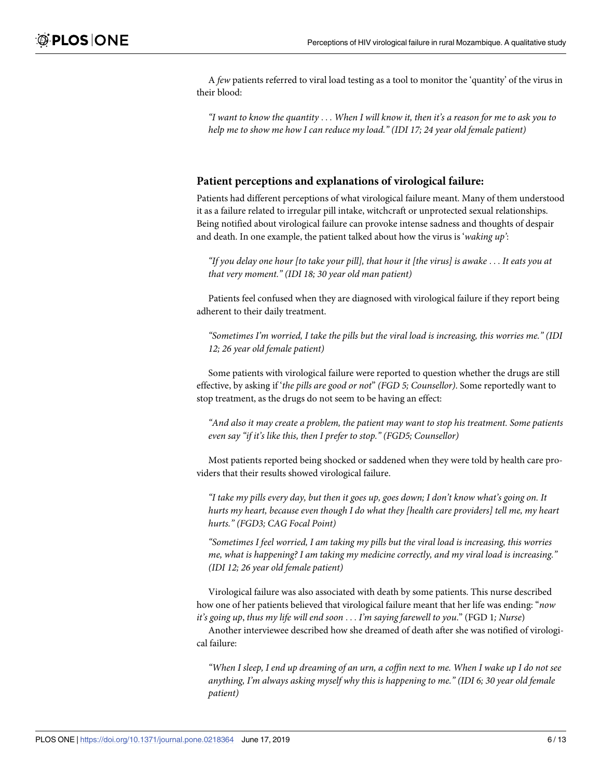A *few* patients referred to viral load testing as a tool to monitor the 'quantity' of the virus in their blood:

"I want to know the quantity . . . When I will know it, then it's a reason for me to ask you to *help me to show me how I can reduce my load." (IDI 17; 24 year old female patient)*

## **Patient perceptions and explanations of virological failure:**

Patients had different perceptions of what virological failure meant. Many of them understood it as a failure related to irregular pill intake, witchcraft or unprotected sexual relationships. Being notified about virological failure can provoke intense sadness and thoughts of despair and death. In one example, the patient talked about how the virus is '*waking up'*:

"If you delay one hour [to take your pill], that hour it [the virus] is awake . . . It eats you at *that very moment." (IDI 18; 30 year old man patient)*

Patients feel confused when they are diagnosed with virological failure if they report being adherent to their daily treatment.

*"Sometimes I'm worried, I take the pills but the viral load is increasing, this worries me." (IDI 12; 26 year old female patient)*

Some patients with virological failure were reported to question whether the drugs are still effective, by asking if '*the pills are good or not*" *(FGD 5; Counsellor)*. Some reportedly want to stop treatment, as the drugs do not seem to be having an effect:

*"And also it may create a problem, the patient may want to stop his treatment. Some patients even say "if it's like this, then I prefer to stop." (FGD5; Counsellor)*

Most patients reported being shocked or saddened when they were told by health care providers that their results showed virological failure.

"I take my pills every day, but then it goes up, goes down; I don't know what's going on. It *hurts my heart, because even though I do what they [health care providers] tell me, my heart hurts." (FGD3; CAG Focal Point)*

*"Sometimes I feel worried, I am taking my pills but the viral load is increasing, this worries me, what is happening? I am taking my medicine correctly, and my viral load is increasing." (IDI 12; 26 year old female patient)*

Virological failure was also associated with death by some patients. This nurse described how one of her patients believed that virological failure meant that her life was ending: "*now it's going up*, *thus my life will end soon* . . . *I'm saying farewell to you*." (FGD 1*; Nurse*)

Another interviewee described how she dreamed of death after she was notified of virological failure:

"When I sleep, I end up dreaming of an urn, a coffin next to me. When I wake up I do not see *anything, I'm always asking myself why this is happening to me." (IDI 6; 30 year old female patient)*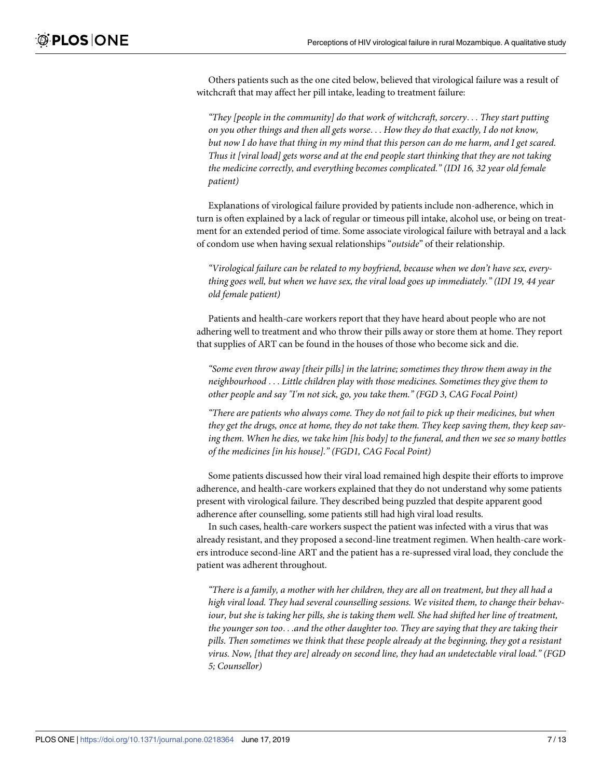Others patients such as the one cited below, believed that virological failure was a result of witchcraft that may affect her pill intake, leading to treatment failure:

*"They [people in the community] do that work of witchcraft, sorcery*. . . *They start putting on you other things and then all gets worse*. . . *How they do that exactly, I do not know,* but now I do have that thing in my mind that this person can do me harm, and I get scared. *Thus it [viral load] gets worse and at the end people start thinking that they are not taking the medicine correctly, and everything becomes complicated." (IDI 16, 32 year old female patient)*

Explanations of virological failure provided by patients include non-adherence, which in turn is often explained by a lack of regular or timeous pill intake, alcohol use, or being on treatment for an extended period of time. Some associate virological failure with betrayal and a lack of condom use when having sexual relationships "*outside*" of their relationship.

*"Virological failure can be related to my boyfriend, because when we don't have sex, everything goes well, but when we have sex, the viral load goes up immediately." (IDI 19, 44 year old female patient)*

Patients and health-care workers report that they have heard about people who are not adhering well to treatment and who throw their pills away or store them at home. They report that supplies of ART can be found in the houses of those who become sick and die.

*"Some even throw away [their pills] in the latrine; sometimes they throw them away in the neighbourhood* . . . *Little children play with those medicines. Sometimes they give them to other people and say "I'm not sick, go, you take them." (FGD 3, CAG Focal Point)*

*"There are patients who always come. They do not fail to pick up their medicines, but when* they get the drugs, once at home, they do not take them. They keep saving them, they keep saving them. When he dies, we take him [his body] to the funeral, and then we see so many bottles *of the medicines [in his house]." (FGD1, CAG Focal Point)*

Some patients discussed how their viral load remained high despite their efforts to improve adherence, and health-care workers explained that they do not understand why some patients present with virological failure. They described being puzzled that despite apparent good adherence after counselling, some patients still had high viral load results.

In such cases, health-care workers suspect the patient was infected with a virus that was already resistant, and they proposed a second-line treatment regimen. When health-care workers introduce second-line ART and the patient has a re-supressed viral load, they conclude the patient was adherent throughout.

"There is a family, a mother with her children, they are all on treatment, but they all had a *high viral load. They had several counselling sessions. We visited them, to change their behav*iour, but she is taking her pills, she is taking them well. She had shifted her line of treatment, *the younger son too*. . .*and the other daughter too. They are saying that they are taking their pills. Then sometimes we think that these people already at the beginning, they got a resistant virus. Now, [that they are] already on second line, they had an undetectable viral load." (FGD 5; Counsellor)*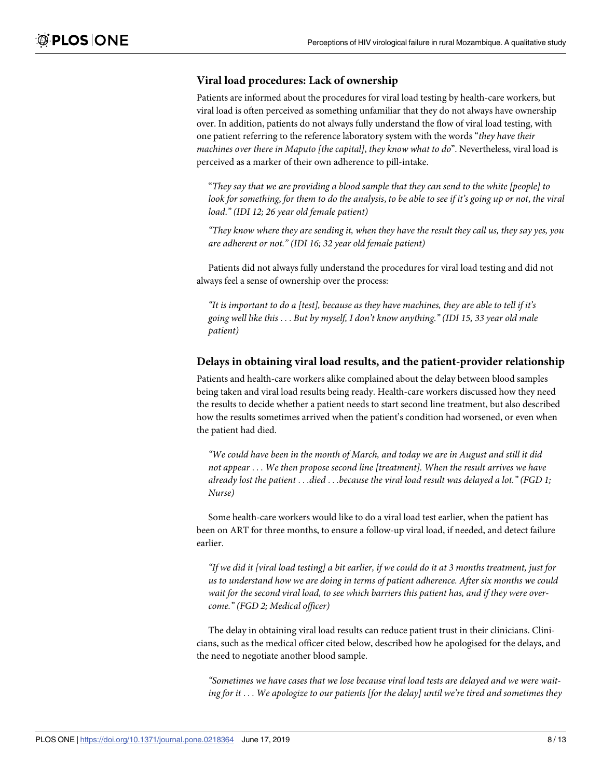## **Viral load procedures: Lack of ownership**

Patients are informed about the procedures for viral load testing by health-care workers, but viral load is often perceived as something unfamiliar that they do not always have ownership over. In addition, patients do not always fully understand the flow of viral load testing, with one patient referring to the reference laboratory system with the words "*they have their machines over there in Maputo [the capital]*, *they know what to do*". Nevertheless, viral load is perceived as a marker of their own adherence to pill-intake.

"*They say that we are providing a blood sample that they can send to the white [people] to* look for something, for them to do the analysis, to be able to see if it's going up or not, the viral *load*.*" (IDI 12; 26 year old female patient)*

"They know where they are sending it, when they have the result they call us, they say yes, you *are adherent or not." (IDI 16; 32 year old female patient)*

Patients did not always fully understand the procedures for viral load testing and did not always feel a sense of ownership over the process:

"It is important to do a [test], because as they have machines, they are able to tell if it's *going well like this* . . . *But by myself, I don't know anything." (IDI 15, 33 year old male patient)*

## **Delays in obtaining viral load results, and the patient-provider relationship**

Patients and health-care workers alike complained about the delay between blood samples being taken and viral load results being ready. Health-care workers discussed how they need the results to decide whether a patient needs to start second line treatment, but also described how the results sometimes arrived when the patient's condition had worsened, or even when the patient had died.

*"We could have been in the month of March, and today we are in August and still it did not appear* . . . *We then propose second line [treatment]. When the result arrives we have already lost the patient* . . .*died* . . .*because the viral load result was delayed a lot." (FGD 1; Nurse)*

Some health-care workers would like to do a viral load test earlier, when the patient has been on ART for three months, to ensure a follow-up viral load, if needed, and detect failure earlier.

"If we did it [viral load testing] a bit earlier, if we could do it at 3 months treatment, just for *us to understand how we are doing in terms of patient adherence. After six months we could wait for the second viral load, to see which barriers this patient has, and if they were overcome." (FGD 2; Medical officer)*

The delay in obtaining viral load results can reduce patient trust in their clinicians. Clinicians, such as the medical officer cited below, described how he apologised for the delays, and the need to negotiate another blood sample.

*"Sometimes we have cases that we lose because viral load tests are delayed and we were waiting for it* . . . *We apologize to our patients [for the delay] until we're tired and sometimes they*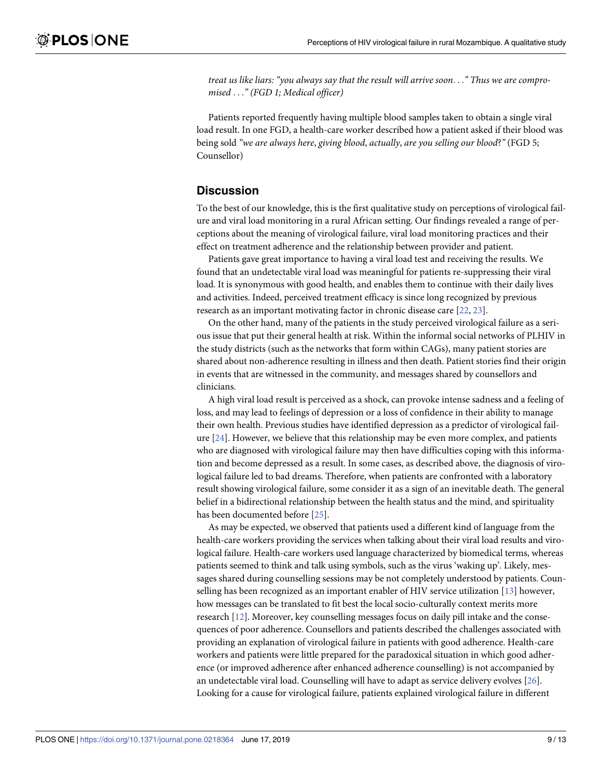<span id="page-8-0"></span>*treat us like liars: "you always say that the result will arrive soon*. . .*" Thus we are compromised* . . .*" (FGD 1; Medical officer)*

Patients reported frequently having multiple blood samples taken to obtain a single viral load result. In one FGD, a health-care worker described how a patient asked if their blood was being sold *"we are always here*, *giving blood*, *actually*, *are you selling our blood*?*"* (FGD 5; Counsellor)

## **Discussion**

To the best of our knowledge, this is the first qualitative study on perceptions of virological failure and viral load monitoring in a rural African setting. Our findings revealed a range of perceptions about the meaning of virological failure, viral load monitoring practices and their effect on treatment adherence and the relationship between provider and patient.

Patients gave great importance to having a viral load test and receiving the results. We found that an undetectable viral load was meaningful for patients re-suppressing their viral load. It is synonymous with good health, and enables them to continue with their daily lives and activities. Indeed, perceived treatment efficacy is since long recognized by previous research as an important motivating factor in chronic disease care [\[22,](#page-12-0) [23\]](#page-12-0).

On the other hand, many of the patients in the study perceived virological failure as a serious issue that put their general health at risk. Within the informal social networks of PLHIV in the study districts (such as the networks that form within CAGs), many patient stories are shared about non-adherence resulting in illness and then death. Patient stories find their origin in events that are witnessed in the community, and messages shared by counsellors and clinicians.

A high viral load result is perceived as a shock, can provoke intense sadness and a feeling of loss, and may lead to feelings of depression or a loss of confidence in their ability to manage their own health. Previous studies have identified depression as a predictor of virological failure  $[24]$  $[24]$  $[24]$ . However, we believe that this relationship may be even more complex, and patients who are diagnosed with virological failure may then have difficulties coping with this information and become depressed as a result. In some cases, as described above, the diagnosis of virological failure led to bad dreams. Therefore, when patients are confronted with a laboratory result showing virological failure, some consider it as a sign of an inevitable death. The general belief in a bidirectional relationship between the health status and the mind, and spirituality has been documented before [[25](#page-12-0)].

As may be expected, we observed that patients used a different kind of language from the health-care workers providing the services when talking about their viral load results and virological failure. Health-care workers used language characterized by biomedical terms, whereas patients seemed to think and talk using symbols, such as the virus 'waking up'. Likely, messages shared during counselling sessions may be not completely understood by patients. Counselling has been recognized as an important enabler of HIV service utilization [\[13\]](#page-11-0) however, how messages can be translated to fit best the local socio-culturally context merits more research [[12](#page-11-0)]. Moreover, key counselling messages focus on daily pill intake and the consequences of poor adherence. Counsellors and patients described the challenges associated with providing an explanation of virological failure in patients with good adherence. Health-care workers and patients were little prepared for the paradoxical situation in which good adherence (or improved adherence after enhanced adherence counselling) is not accompanied by an undetectable viral load. Counselling will have to adapt as service delivery evolves [\[26\]](#page-12-0). Looking for a cause for virological failure, patients explained virological failure in different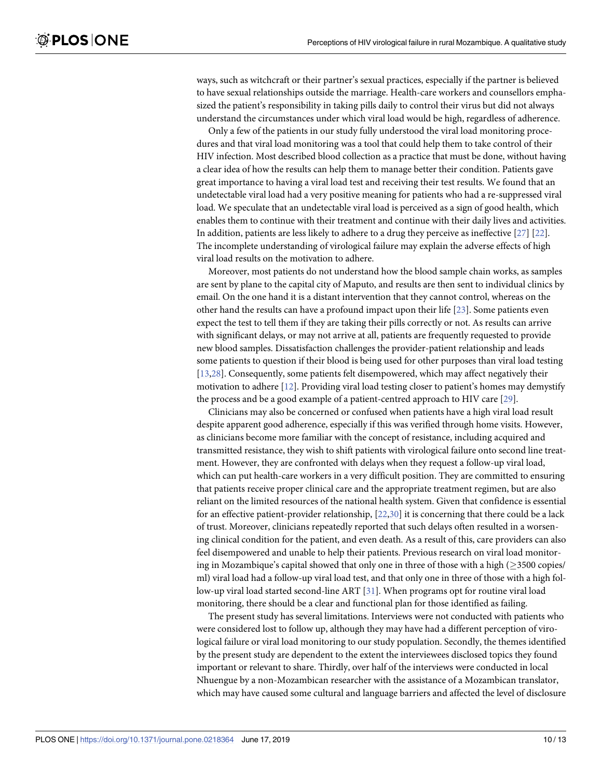<span id="page-9-0"></span>ways, such as witchcraft or their partner's sexual practices, especially if the partner is believed to have sexual relationships outside the marriage. Health-care workers and counsellors emphasized the patient's responsibility in taking pills daily to control their virus but did not always understand the circumstances under which viral load would be high, regardless of adherence.

Only a few of the patients in our study fully understood the viral load monitoring procedures and that viral load monitoring was a tool that could help them to take control of their HIV infection. Most described blood collection as a practice that must be done, without having a clear idea of how the results can help them to manage better their condition. Patients gave great importance to having a viral load test and receiving their test results. We found that an undetectable viral load had a very positive meaning for patients who had a re-suppressed viral load. We speculate that an undetectable viral load is perceived as a sign of good health, which enables them to continue with their treatment and continue with their daily lives and activities. In addition, patients are less likely to adhere to a drug they perceive as ineffective [[27](#page-12-0)] [\[22\]](#page-12-0). The incomplete understanding of virological failure may explain the adverse effects of high viral load results on the motivation to adhere.

Moreover, most patients do not understand how the blood sample chain works, as samples are sent by plane to the capital city of Maputo, and results are then sent to individual clinics by email. On the one hand it is a distant intervention that they cannot control, whereas on the other hand the results can have a profound impact upon their life [\[23\]](#page-12-0). Some patients even expect the test to tell them if they are taking their pills correctly or not. As results can arrive with significant delays, or may not arrive at all, patients are frequently requested to provide new blood samples. Dissatisfaction challenges the provider-patient relationship and leads some patients to question if their blood is being used for other purposes than viral load testing [\[13](#page-11-0)[,28\]](#page-12-0). Consequently, some patients felt disempowered, which may affect negatively their motivation to adhere [\[12\]](#page-11-0). Providing viral load testing closer to patient's homes may demystify the process and be a good example of a patient-centred approach to HIV care [\[29\]](#page-12-0).

Clinicians may also be concerned or confused when patients have a high viral load result despite apparent good adherence, especially if this was verified through home visits. However, as clinicians become more familiar with the concept of resistance, including acquired and transmitted resistance, they wish to shift patients with virological failure onto second line treatment. However, they are confronted with delays when they request a follow-up viral load, which can put health-care workers in a very difficult position. They are committed to ensuring that patients receive proper clinical care and the appropriate treatment regimen, but are also reliant on the limited resources of the national health system. Given that confidence is essential for an effective patient-provider relationship, [\[22,30\]](#page-12-0) it is concerning that there could be a lack of trust. Moreover, clinicians repeatedly reported that such delays often resulted in a worsening clinical condition for the patient, and even death. As a result of this, care providers can also feel disempowered and unable to help their patients. Previous research on viral load monitoring in Mozambique's capital showed that only one in three of those with a high ( $>3500$  copies/ ml) viral load had a follow-up viral load test, and that only one in three of those with a high follow-up viral load started second-line ART [\[31\]](#page-12-0). When programs opt for routine viral load monitoring, there should be a clear and functional plan for those identified as failing.

The present study has several limitations. Interviews were not conducted with patients who were considered lost to follow up, although they may have had a different perception of virological failure or viral load monitoring to our study population. Secondly, the themes identified by the present study are dependent to the extent the interviewees disclosed topics they found important or relevant to share. Thirdly, over half of the interviews were conducted in local Nhuengue by a non-Mozambican researcher with the assistance of a Mozambican translator, which may have caused some cultural and language barriers and affected the level of disclosure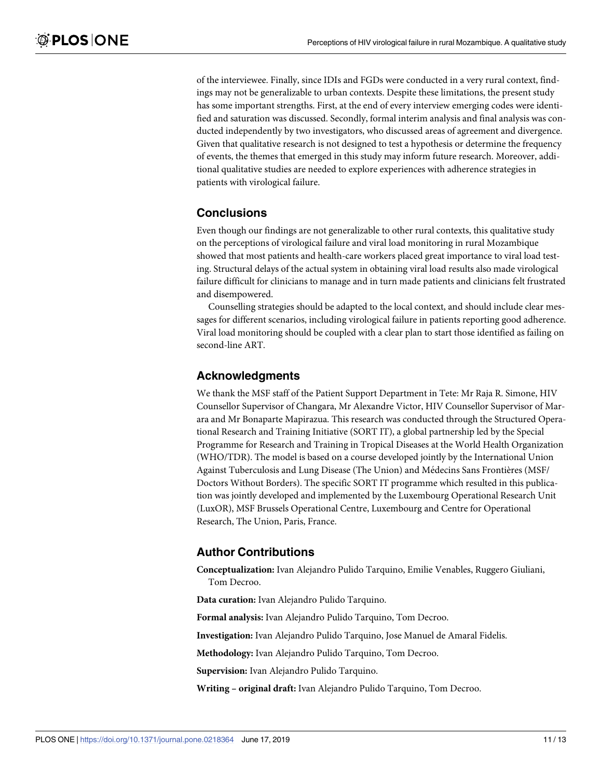of the interviewee. Finally, since IDIs and FGDs were conducted in a very rural context, findings may not be generalizable to urban contexts. Despite these limitations, the present study has some important strengths. First, at the end of every interview emerging codes were identified and saturation was discussed. Secondly, formal interim analysis and final analysis was conducted independently by two investigators, who discussed areas of agreement and divergence. Given that qualitative research is not designed to test a hypothesis or determine the frequency of events, the themes that emerged in this study may inform future research. Moreover, additional qualitative studies are needed to explore experiences with adherence strategies in patients with virological failure.

# **Conclusions**

Even though our findings are not generalizable to other rural contexts, this qualitative study on the perceptions of virological failure and viral load monitoring in rural Mozambique showed that most patients and health-care workers placed great importance to viral load testing. Structural delays of the actual system in obtaining viral load results also made virological failure difficult for clinicians to manage and in turn made patients and clinicians felt frustrated and disempowered.

Counselling strategies should be adapted to the local context, and should include clear messages for different scenarios, including virological failure in patients reporting good adherence. Viral load monitoring should be coupled with a clear plan to start those identified as failing on second-line ART.

# **Acknowledgments**

We thank the MSF staff of the Patient Support Department in Tete: Mr Raja R. Simone, HIV Counsellor Supervisor of Changara, Mr Alexandre Victor, HIV Counsellor Supervisor of Marara and Mr Bonaparte Mapirazua. This research was conducted through the Structured Operational Research and Training Initiative (SORT IT), a global partnership led by the Special Programme for Research and Training in Tropical Diseases at the World Health Organization (WHO/TDR). The model is based on a course developed jointly by the International Union Against Tuberculosis and Lung Disease (The Union) and Médecins Sans Frontières (MSF/ Doctors Without Borders). The specific SORT IT programme which resulted in this publication was jointly developed and implemented by the Luxembourg Operational Research Unit (LuxOR), MSF Brussels Operational Centre, Luxembourg and Centre for Operational Research, The Union, Paris, France.

## **Author Contributions**

**Conceptualization:** Ivan Alejandro Pulido Tarquino, Emilie Venables, Ruggero Giuliani, Tom Decroo.

**Data curation:** Ivan Alejandro Pulido Tarquino.

**Formal analysis:** Ivan Alejandro Pulido Tarquino, Tom Decroo.

**Investigation:** Ivan Alejandro Pulido Tarquino, Jose Manuel de Amaral Fidelis.

**Methodology:** Ivan Alejandro Pulido Tarquino, Tom Decroo.

**Supervision:** Ivan Alejandro Pulido Tarquino.

**Writing – original draft:** Ivan Alejandro Pulido Tarquino, Tom Decroo.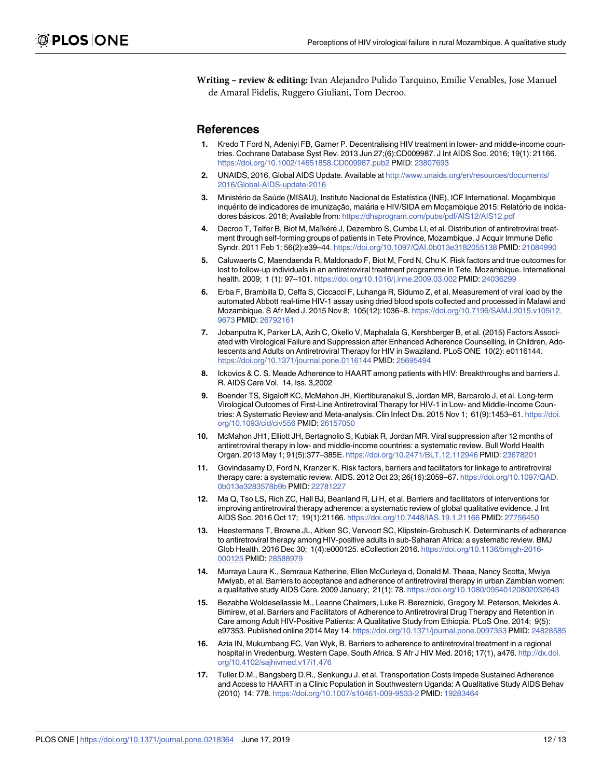<span id="page-11-0"></span>**Writing – review & editing:** Ivan Alejandro Pulido Tarquino, Emilie Venables, Jose Manuel de Amaral Fidelis, Ruggero Giuliani, Tom Decroo.

## **References**

- **[1](#page-1-0).** Kredo T Ford N, Adeniyi FB, Garner P. Decentralising HIV treatment in lower- and middle-income countries. Cochrane Database Syst Rev. 2013 Jun 27;(6):CD009987. J Int AIDS Soc. 2016; 19(1): 21166. <https://doi.org/10.1002/14651858.CD009987.pub2> PMID: [23807693](http://www.ncbi.nlm.nih.gov/pubmed/23807693)
- **[2](#page-1-0).** UNAIDS, 2016, Global AIDS Update. Available at [http://www.unaids.org/en/resources/documents/](http://www.unaids.org/en/resources/documents/2016/Global-AIDS-update-2016) [2016/Global-AIDS-update-2016](http://www.unaids.org/en/resources/documents/2016/Global-AIDS-update-2016)
- **[3](#page-1-0).** Ministério da Saúde (MISAU), Instituto Nacional de Estatística (INE), ICF International. Moçambique inquérito de indicadores de imunização, malária e HIV/SIDA em Moçambique 2015: Relatório de indicadores básicos. 2018; Available from: <https://dhsprogram.com/pubs/pdf/AIS12/AIS12.pdf>
- **[4](#page-1-0).** Decroo T, Telfer B, Biot M, Maïkéré J, Dezembro S, Cumba LI, et al. Distribution of antiretroviral treatment through self-forming groups of patients in Tete Province, Mozambique. J Acquir Immune Defic Syndr. 2011 Feb 1; 56(2):e39–44. <https://doi.org/10.1097/QAI.0b013e3182055138> PMID: [21084990](http://www.ncbi.nlm.nih.gov/pubmed/21084990)
- **[5](#page-1-0).** Caluwaerts C, Maendaenda R, Maldonado F, Biot M, Ford N, Chu K. Risk factors and true outcomes for lost to follow-up individuals in an antiretroviral treatment programme in Tete, Mozambique. International health. 2009; 1 (1): 97–101. <https://doi.org/10.1016/j.inhe.2009.03.002> PMID: [24036299](http://www.ncbi.nlm.nih.gov/pubmed/24036299)
- **[6](#page-1-0).** Erba F, Brambilla D, Ceffa S, Ciccacci F, Luhanga R, Sidumo Z, et al. Measurement of viral load by the automated Abbott real-time HIV-1 assay using dried blood spots collected and processed in Malawi and Mozambique. S Afr Med J. 2015 Nov 8; 105(12):1036–8. [https://doi.org/10.7196/SAMJ.2015.v105i12.](https://doi.org/10.7196/SAMJ.2015.v105i12.9673) [9673](https://doi.org/10.7196/SAMJ.2015.v105i12.9673) PMID: [26792161](http://www.ncbi.nlm.nih.gov/pubmed/26792161)
- **[7](#page-1-0).** Jobanputra K, Parker LA, Azih C, Okello V, Maphalala G, Kershberger B, et al. (2015) Factors Associated with Virological Failure and Suppression after Enhanced Adherence Counselling, in Children, Adolescents and Adults on Antiretroviral Therapy for HIV in Swaziland. PLoS ONE 10(2): e0116144. <https://doi.org/10.1371/journal.pone.0116144> PMID: [25695494](http://www.ncbi.nlm.nih.gov/pubmed/25695494)
- **[8](#page-1-0).** Ickovics & C. S. Meade Adherence to HAART among patients with HIV: Breakthroughs and barriers J. R. AIDS Care Vol. 14, Iss. 3,2002
- **[9](#page-2-0).** Boender TS, Sigaloff KC, McMahon JH, Kiertiburanakul S, Jordan MR, Barcarolo J, et al. Long-term Virological Outcomes of First-Line Antiretroviral Therapy for HIV-1 in Low- and Middle-Income Countries: A Systematic Review and Meta-analysis. Clin Infect Dis. 2015 Nov 1; 61(9):1453–61. [https://doi.](https://doi.org/10.1093/cid/civ556) [org/10.1093/cid/civ556](https://doi.org/10.1093/cid/civ556) PMID: [26157050](http://www.ncbi.nlm.nih.gov/pubmed/26157050)
- **[10](#page-2-0).** McMahon JH1, Elliott JH, Bertagnolio S, Kubiak R, Jordan MR. Viral suppression after 12 months of antiretroviral therapy in low- and middle-income countries: a systematic review. Bull World Health Organ. 2013 May 1; 91(5):377–385E. <https://doi.org/10.2471/BLT.12.112946> PMID: [23678201](http://www.ncbi.nlm.nih.gov/pubmed/23678201)
- **[11](#page-2-0).** Govindasamy D, Ford N, Kranzer K. Risk factors, barriers and facilitators for linkage to antiretroviral therapy care: a systematic review. AIDS. 2012 Oct 23; 26(16):2059–67. [https://doi.org/10.1097/QAD.](https://doi.org/10.1097/QAD.0b013e3283578b9b) [0b013e3283578b9b](https://doi.org/10.1097/QAD.0b013e3283578b9b) PMID: [22781227](http://www.ncbi.nlm.nih.gov/pubmed/22781227)
- **[12](#page-8-0).** Ma Q, Tso LS, Rich ZC, Hall BJ, Beanland R, Li H, et al. Barriers and facilitators of interventions for improving antiretroviral therapy adherence: a systematic review of global qualitative evidence. J Int AIDS Soc. 2016 Oct 17; 19(1):21166. <https://doi.org/10.7448/IAS.19.1.21166> PMID: [27756450](http://www.ncbi.nlm.nih.gov/pubmed/27756450)
- **[13](#page-2-0).** Heestermans T, Browne JL, Aitken SC, Vervoort SC, Klipstein-Grobusch K. Determinants of adherence to antiretroviral therapy among HIV-positive adults in sub-Saharan Africa: a systematic review. BMJ Glob Health. 2016 Dec 30; 1(4):e000125. eCollection 2016. [https://doi.org/10.1136/bmjgh-2016-](https://doi.org/10.1136/bmjgh-2016-000125) [000125](https://doi.org/10.1136/bmjgh-2016-000125) PMID: [28588979](http://www.ncbi.nlm.nih.gov/pubmed/28588979)
- **[14](#page-2-0).** Murraya Laura K., Semraua Katherine, Ellen McCurleya d, Donald M. Theaa, Nancy Scotta, Mwiya Mwiyab, et al. Barriers to acceptance and adherence of antiretroviral therapy in urban Zambian women: a qualitative study AIDS Care. 2009 January; 21(1): 78. <https://doi.org/10.1080/09540120802032643>
- **15.** Bezabhe Woldesellassie M., Leanne Chalmers, Luke R. Bereznicki, Gregory M. Peterson, Mekides A. Bimirew, et al. Barriers and Facilitators of Adherence to Antiretroviral Drug Therapy and Retention in Care among Adult HIV-Positive Patients: A Qualitative Study from Ethiopia. PLoS One. 2014; 9(5): e97353. Published online 2014 May 14. <https://doi.org/10.1371/journal.pone.0097353> PMID: [24828585](http://www.ncbi.nlm.nih.gov/pubmed/24828585)
- **16.** Azia IN, Mukumbang FC, Van Wyk, B. Barriers to adherence to antiretroviral treatment in a regional hospital in Vredenburg, Western Cape, South Africa. S Afr J HIV Med. 2016; 17(1), a476. [http://dx.doi.](http://dx.doi.org/10.4102/sajhivmed.v17i1.476) [org/10.4102/sajhivmed.v17i1.476](http://dx.doi.org/10.4102/sajhivmed.v17i1.476)
- **[17](#page-2-0).** Tuller D.M., Bangsberg D.R., Senkungu J. et al. Transportation Costs Impede Sustained Adherence and Access to HAART in a Clinic Population in Southwestern Uganda: A Qualitative Study AIDS Behav (2010) 14: 778. <https://doi.org/10.1007/s10461-009-9533-2> PMID: [19283464](http://www.ncbi.nlm.nih.gov/pubmed/19283464)